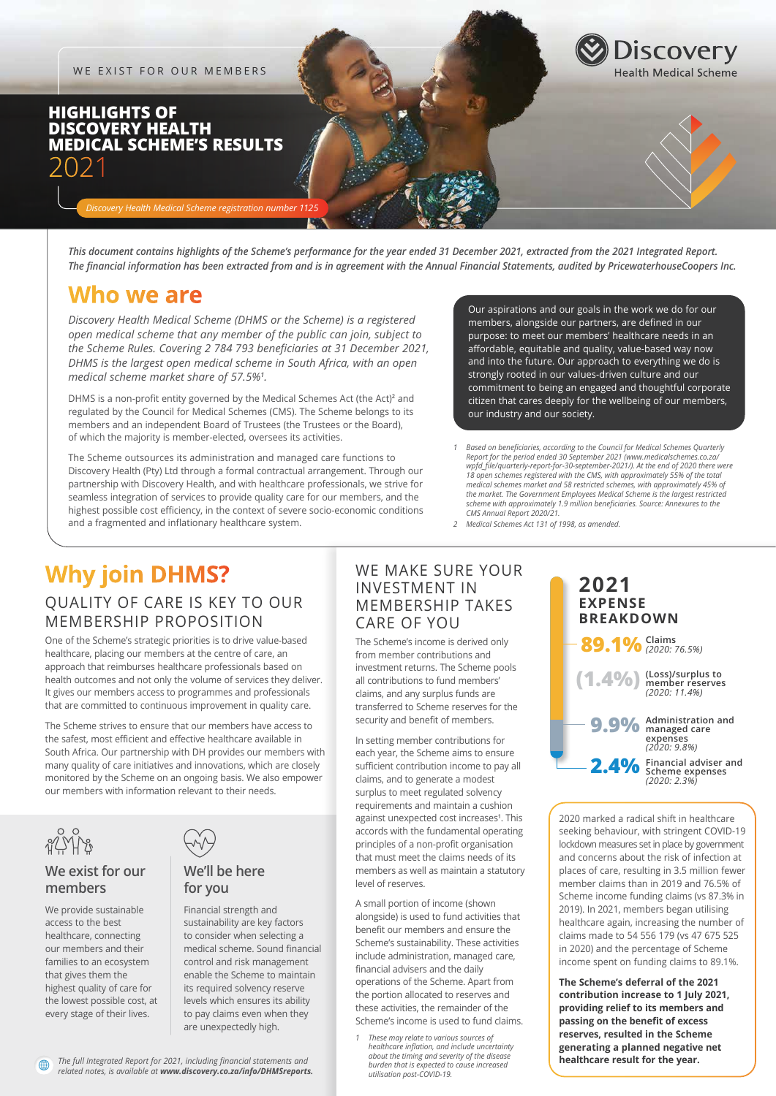WE EXIST FOR OUR MEMBERS

## **HIGHLIGHTS OF DISCOVERY HEALTH MEDICAL SCHEME'S RESULTS** 2021

*Discovery Health Medical Scheme registration number 1125*

*This document contains highlights of the Scheme's performance for the year ended 31 December 2021, extracted from the 2021 Integrated Report. The financial information has been extracted from and is in agreement with the Annual Financial Statements, audited by PricewaterhouseCoopers Inc.*

## **Who we are**

*Discovery Health Medical Scheme (DHMS or the Scheme) is a registered open medical scheme that any member of the public can join, subject to the Scheme Rules. Covering 2 784 793 beneficiaries at 31 December 2021, DHMS is the largest open medical scheme in South Africa, with an open medical scheme market share of 57.5%<sup>1</sup> .*

DHMS is a non-profit entity governed by the Medical Schemes Act (the Act)<sup>2</sup> and regulated by the Council for Medical Schemes (CMS). The Scheme belongs to its members and an independent Board of Trustees (the Trustees or the Board), of which the majority is member-elected, oversees its activities.

The Scheme outsources its administration and managed care functions to Discovery Health (Pty) Ltd through a formal contractual arrangement. Through our partnership with Discovery Health, and with healthcare professionals, we strive for seamless integration of services to provide quality care for our members, and the highest possible cost efficiency, in the context of severe socio-economic conditions and a fragmented and inflationary healthcare system.

Our aspirations and our goals in the work we do for our members, alongside our partners, are defined in our purpose: to meet our members' healthcare needs in an affordable, equitable and quality, value-based way now and into the future. Our approach to everything we do is strongly rooted in our values-driven culture and our commitment to being an engaged and thoughtful corporate citizen that cares deeply for the wellbeing of our members, our industry and our society.

**Discovery** 

*1 Based on beneficiaries, according to the Council for Medical Schemes Quarterly Report for the period ended 30 September 2021 (www.medicalschemes.co.za/ wpfd\_file/quarterly-report-for-30-september-2021/). At the end of 2020 there were 18 open schemes registered with the CMS, with approximately 55% of the total medical schemes market and 58 restricted schemes, with approximately 45% of the market. The Government Employees Medical Scheme is the largest restricted scheme with approximately 1.9 million beneficiaries. Source: Annexures to the CMS Annual Report 2020/21.*

*2 Medical Schemes Act 131 of 1998, as amended.*

# **Why join DHMS?**

## QUALITY OF CARE IS KEY TO OUR MEMBERSHIP PROPOSITION

One of the Scheme's strategic priorities is to drive value-based healthcare, placing our members at the centre of care, an approach that reimburses healthcare professionals based on health outcomes and not only the volume of services they deliver. It gives our members access to programmes and professionals that are committed to continuous improvement in quality care.

The Scheme strives to ensure that our members have access to the safest, most efficient and effective healthcare available in South Africa. Our partnership with DH provides our members with many quality of care initiatives and innovations, which are closely monitored by the Scheme on an ongoing basis. We also empower our members with information relevant to their needs.



曲

## **We exist for our members**

We provide sustainable access to the best healthcare, connecting our members and their families to an ecosystem that gives them the highest quality of care for the lowest possible cost, at every stage of their lives.



## **We'll be here for you**

Financial strength and sustainability are key factors to consider when selecting a medical scheme. Sound financial control and risk management enable the Scheme to maintain its required solvency reserve levels which ensures its ability to pay claims even when they are unexpectedly high.

### WE MAKE SURE YOUR INVESTMENT IN MEMBERSHIP TAKES CARE OF YOU

The Scheme's income is derived only from member contributions and investment returns. The Scheme pools all contributions to fund members' claims, and any surplus funds are transferred to Scheme reserves for the security and benefit of members.

In setting member contributions for each year, the Scheme aims to ensure sufficient contribution income to pay all claims, and to generate a modest surplus to meet regulated solvency requirements and maintain a cushion against unexpected cost increases**<sup>1</sup>** . This accords with the fundamental operating principles of a non-profit organisation that must meet the claims needs of its members as well as maintain a statutory level of reserves.

A small portion of income (shown alongside) is used to fund activities that benefit our members and ensure the Scheme's sustainability. These activities include administration, managed care, financial advisers and the daily operations of the Scheme. Apart from the portion allocated to reserves and these activities, the remainder of the Scheme's income is used to fund claims.

*1 These may relate to various sources of healthcare inflation, and include uncertainty about the timing and severity of the disease burden that is expected to cause increased utilisation post-COVID-19.*

#### **(1.4%) 89.1% Claims** *(2020: 76.5%)* **9.9% 2.4% 2021 EXPENSE BREAKDOWN (Loss)/surplus to member reserves** *(2020: 11.4%)* **Administration and managed care expenses** *(2020: 9.8%)* **Financial adviser and Scheme expenses**

*(2020: 2.3%)*

2020 marked a radical shift in healthcare seeking behaviour, with stringent COVID-19 lockdown measures set in place by government and concerns about the risk of infection at places of care, resulting in 3.5 million fewer member claims than in 2019 and 76.5% of Scheme income funding claims (vs 87.3% in 2019). In 2021, members began utilising healthcare again, increasing the number of claims made to 54 556 179 (vs 47 675 525 in 2020) and the percentage of Scheme income spent on funding claims to 89.1%.

**The Scheme's deferral of the 2021 contribution increase to 1 July 2021, providing relief to its members and passing on the benefit of excess reserves, resulted in the Scheme generating a planned negative net healthcare result for the year.**

*The full Integrated Report for 2021, including financial statements and related notes, is available at www.discovery.co.za/info/DHMSreports.*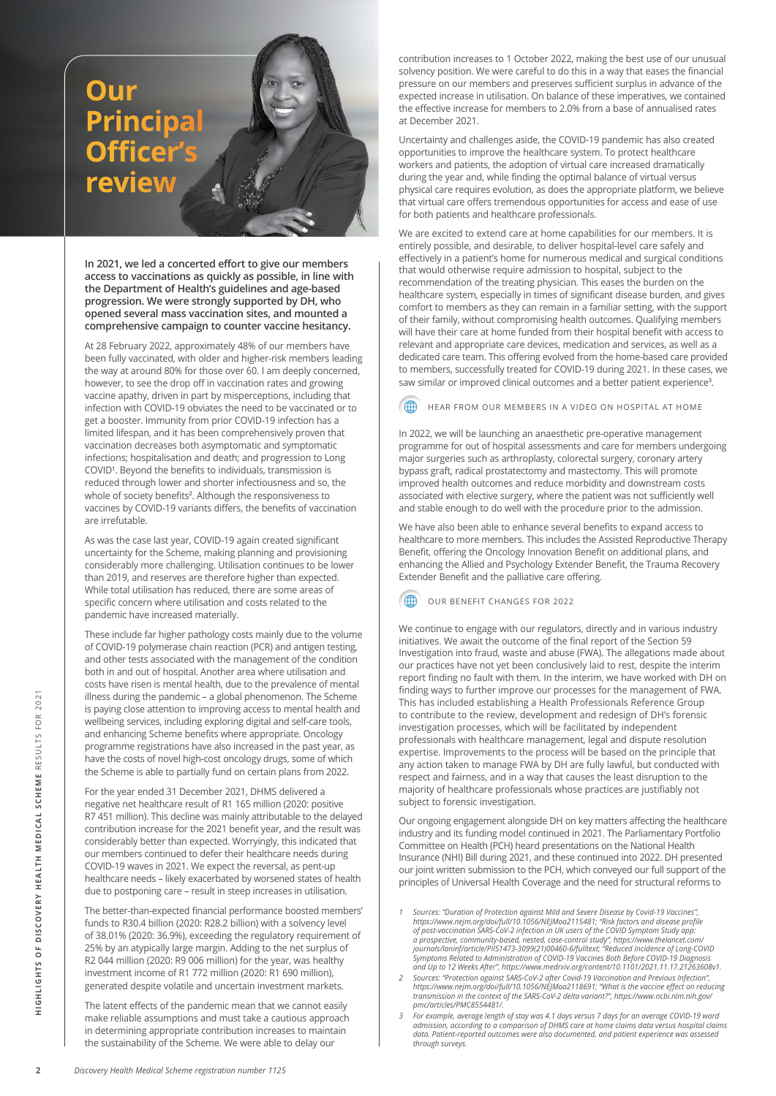# **Our review Principal Officer's**

**In 2021, we led a concerted effort to give our members access to vaccinations as quickly as possible, in line with the Department of Health's guidelines and age-based progression. We were strongly supported by DH, who opened several mass vaccination sites, and mounted a comprehensive campaign to counter vaccine hesitancy.** 

At 28 February 2022, approximately 48% of our members have been fully vaccinated, with older and higher-risk members leading the way at around 80% for those over 60. I am deeply concerned, however, to see the drop off in vaccination rates and growing vaccine apathy, driven in part by misperceptions, including that infection with COVID-19 obviates the need to be vaccinated or to get a booster. Immunity from prior COVID-19 infection has a limited lifespan, and it has been comprehensively proven that vaccination decreases both asymptomatic and symptomatic infections; hospitalisation and death; and progression to Long COVID**<sup>1</sup>** . Beyond the benefits to individuals, transmission is reduced through lower and shorter infectiousness and so, the whole of society benefits**<sup>2</sup>** . Although the responsiveness to vaccines by COVID-19 variants differs, the benefits of vaccination are irrefutable.

As was the case last year, COVID-19 again created significant uncertainty for the Scheme, making planning and provisioning considerably more challenging. Utilisation continues to be lower than 2019, and reserves are therefore higher than expected. While total utilisation has reduced, there are some areas of specific concern where utilisation and costs related to the pandemic have increased materially.

These include far higher pathology costs mainly due to the volume of COVID-19 polymerase chain reaction (PCR) and antigen testing, and other tests associated with the management of the condition both in and out of hospital. Another area where utilisation and costs have risen is mental health, due to the prevalence of mental illness during the pandemic – a global phenomenon. The Scheme is paying close attention to improving access to mental health and wellbeing services, including exploring digital and self-care tools, and enhancing Scheme benefits where appropriate. Oncology programme registrations have also increased in the past year, as have the costs of novel high-cost oncology drugs, some of which the Scheme is able to partially fund on certain plans from 2022.

For the year ended 31 December 2021, DHMS delivered a negative net healthcare result of R1 165 million (2020: positive R7 451 million). This decline was mainly attributable to the delayed contribution increase for the 2021 benefit year, and the result was considerably better than expected. Worryingly, this indicated that our members continued to defer their healthcare needs during COVID-19 waves in 2021. We expect the reversal, as pent-up healthcare needs – likely exacerbated by worsened states of health due to postponing care – result in steep increases in utilisation.

The better-than-expected financial performance boosted members' funds to R30.4 billion (2020: R28.2 billion) with a solvency level of 38.01% (2020: 36.9%), exceeding the regulatory requirement of 25% by an atypically large margin. Adding to the net surplus of R2 044 million (2020: R9 006 million) for the year, was healthy investment income of R1 772 million (2020: R1 690 million), generated despite volatile and uncertain investment markets.

The latent effects of the pandemic mean that we cannot easily make reliable assumptions and must take a cautious approach in determining appropriate contribution increases to maintain the sustainability of the Scheme. We were able to delay our

contribution increases to 1 October 2022, making the best use of our unusual solvency position. We were careful to do this in a way that eases the financial pressure on our members and preserves sufficient surplus in advance of the expected increase in utilisation. On balance of these imperatives, we contained the effective increase for members to 2.0% from a base of annualised rates at December 2021.

Uncertainty and challenges aside, the COVID-19 pandemic has also created opportunities to improve the healthcare system. To protect healthcare workers and patients, the adoption of virtual care increased dramatically during the year and, while finding the optimal balance of virtual versus physical care requires evolution, as does the appropriate platform, we believe that virtual care offers tremendous opportunities for access and ease of use for both patients and healthcare professionals.

We are excited to extend care at home capabilities for our members. It is entirely possible, and desirable, to deliver hospital-level care safely and effectively in a patient's home for numerous medical and surgical conditions that would otherwise require admission to hospital, subject to the recommendation of the treating physician. This eases the burden on the healthcare system, especially in times of significant disease burden, and gives comfort to members as they can remain in a familiar setting, with the support of their family, without compromising health outcomes. Qualifying members will have their care at home funded from their hospital benefit with access to relevant and appropriate care devices, medication and services, as well as a dedicated care team. This offering evolved from the home-based care provided to members, successfully treated for COVID-19 during 2021. In these cases, we saw similar or improved clinical outcomes and a better patient experience**<sup>3</sup>** .

In 2022, we will be launching an anaesthetic pre-operative management programme for out of hospital assessments and care for members undergoing major surgeries such as arthroplasty, colorectal surgery, coronary artery bypass graft, radical prostatectomy and mastectomy. This will promote improved health outcomes and reduce morbidity and downstream costs associated with elective surgery, where the patient was not sufficiently well and stable enough to do well with the procedure prior to the admission. HEAR FROM OUR MEMBERS IN A VIDEO ON HOSPITAL AT HOME<br>2, we will be launching an anaesthetic pre-operative management<br>surgeries such as arthroplasty, colorectal surgery, coronary artery<br>graft, radical prostatectomy and mast

We have also been able to enhance several benefits to expand access to healthcare to more members. This includes the Assisted Reproductive Therapy Benefit, offering the Oncology Innovation Benefit on additional plans, and enhancing the Allied and Psychology Extender Benefit, the Trauma Recovery Extender Benefit and the palliative care offering.

4

We continue to engage with our regulators, directly and in various industry initiatives. We await the outcome of the final report of the Section 59 Investigation into fraud, waste and abuse (FWA). The allegations made about our practices have not yet been conclusively laid to rest, despite the interim report finding no fault with them. In the interim, we have worked with DH on finding ways to further improve our processes for the management of FWA. This has included establishing a Health Professionals Reference Group to contribute to the review, development and redesign of DH's forensic investigation processes, which will be facilitated by independent professionals with healthcare management, legal and dispute resolution expertise. Improvements to the process will be based on the principle that any action taken to manage FWA by DH are fully lawful, but conducted with respect and fairness, and in a way that causes the least disruption to the majority of healthcare professionals whose practices are justifiably not subject to forensic investigation.

Our ongoing engagement alongside DH on key matters affecting the healthcare industry and its funding model continued in 2021. The Parliamentary Portfolio Committee on Health (PCH) heard presentations on the National Health Insurance (NHI) Bill during 2021, and these continued into 2022. DH presented our joint written submission to the PCH, which conveyed our full support of the principles of Universal Health Coverage and the need for structural reforms to

- ,"Sources: "Duration of Protection against Mild and Severe Disease by Covid-19 Vaccines<br>https://www.nejm.org/doi/full/10.1056/NEJMoa2115481; "Risk factors and disease profile of post-vaccination SARS-CoV-2 infection in UK users of the COVID Symptom Study app:<br>a prospective, community-based, nested, case-control study", https://www.thelancet.com/<br>journals/laninf/article/PIIS1473-3099(21)00460-6/
- / Sources: "Protection against SARS-CoV-2 after Covid-19 Vaccination and Previous Infection",<br>https://www.nejm.org/doi/full/10.1056/NEJMoa2118691; "What is the vaccine effect on reducing *transmission in the context of the SARS-CoV-2 delta variant?", https://www.ncbi.nlm.nih.gov/ pmc/articles/PMC8554481/.*
- *3 For example, average length of stay was 4.1 days versus 7 days for an average COVID-19 ward* admission, according to a comparison of DHMS care at home claims data versus hospital claims<br>data. Patient-reported outcomes were also documented, and patient experience was assessed *through surveys.*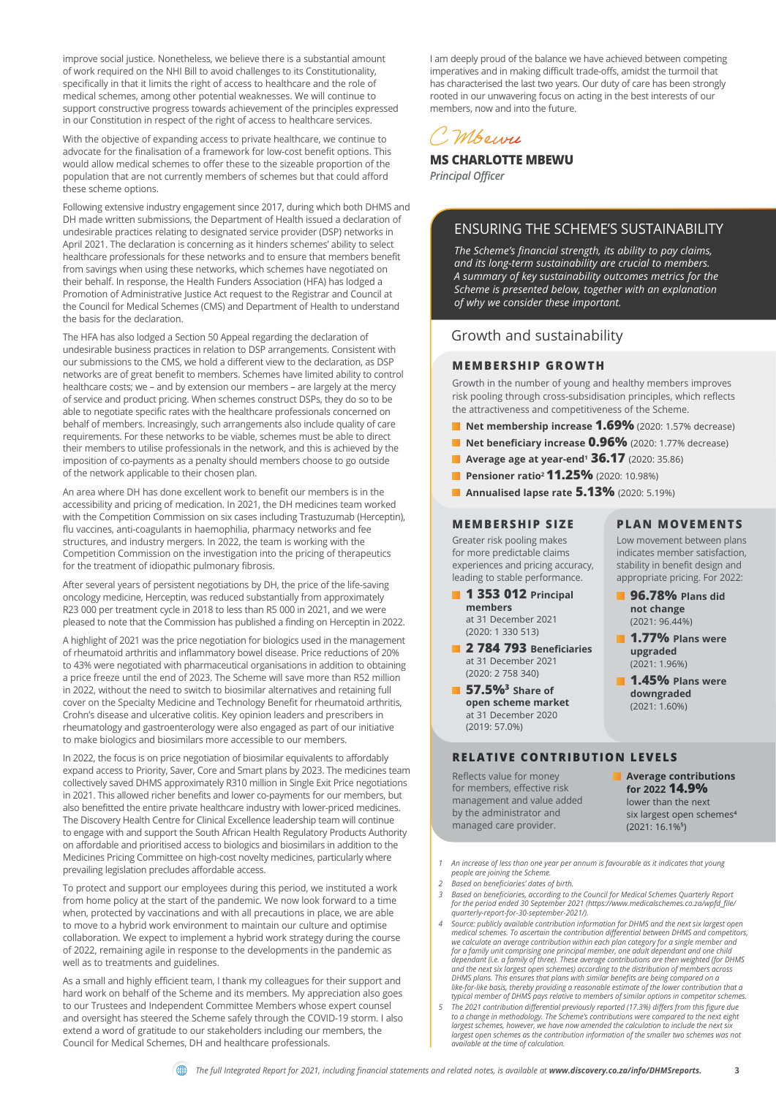improve social justice. Nonetheless, we believe there is a substantial amount of work required on the NHI Bill to avoid challenges to its Constitutionality, specifically in that it limits the right of access to healthcare and the role of medical schemes, among other potential weaknesses. We will continue to support constructive progress towards achievement of the principles expressed in our Constitution in respect of the right of access to healthcare services.

With the objective of expanding access to private healthcare, we continue to advocate for the finalisation of a framework for low-cost benefit options. This would allow medical schemes to offer these to the sizeable proportion of the population that are not currently members of schemes but that could afford these scheme options.

Following extensive industry engagement since 2017, during which both DHMS and DH made written submissions, the Department of Health issued a declaration of undesirable practices relating to designated service provider (DSP) networks in April 2021. The declaration is concerning as it hinders schemes' ability to select healthcare professionals for these networks and to ensure that members benefit from savings when using these networks, which schemes have negotiated on their behalf. In response, the Health Funders Association (HFA) has lodged a Promotion of Administrative Justice Act request to the Registrar and Council at the Council for Medical Schemes (CMS) and Department of Health to understand the basis for the declaration.

The HFA has also lodged a Section 50 Appeal regarding the declaration of undesirable business practices in relation to DSP arrangements. Consistent with our submissions to the CMS, we hold a different view to the declaration, as DSP networks are of great benefit to members. Schemes have limited ability to control healthcare costs; we – and by extension our members – are largely at the mercy of service and product pricing. When schemes construct DSPs, they do so to be able to negotiate specific rates with the healthcare professionals concerned on behalf of members. Increasingly, such arrangements also include quality of care requirements. For these networks to be viable, schemes must be able to direct their members to utilise professionals in the network, and this is achieved by the imposition of co-payments as a penalty should members choose to go outside of the network applicable to their chosen plan.

An area where DH has done excellent work to benefit our members is in the accessibility and pricing of medication. In 2021, the DH medicines team worked with the Competition Commission on six cases including Trastuzumab (Herceptin), flu vaccines, anti-coagulants in haemophilia, pharmacy networks and fee structures, and industry mergers. In 2022, the team is working with the Competition Commission on the investigation into the pricing of therapeutics for the treatment of idiopathic pulmonary fibrosis.

After several years of persistent negotiations by DH, the price of the life-saving oncology medicine, Herceptin, was reduced substantially from approximately R23 000 per treatment cycle in 2018 to less than R5 000 in 2021, and we were pleased to note that the Commission has published a finding on Herceptin in 2022.

A highlight of 2021 was the price negotiation for biologics used in the management of rheumatoid arthritis and inflammatory bowel disease. Price reductions of 20% to 43% were negotiated with pharmaceutical organisations in addition to obtaining a price freeze until the end of 2023. The Scheme will save more than R52 million in 2022, without the need to switch to biosimilar alternatives and retaining full cover on the Specialty Medicine and Technology Benefit for rheumatoid arthritis, Crohn's disease and ulcerative colitis. Key opinion leaders and prescribers in rheumatology and gastroenterology were also engaged as part of our initiative to make biologics and biosimilars more accessible to our members.

In 2022, the focus is on price negotiation of biosimilar equivalents to affordably expand access to Priority, Saver, Core and Smart plans by 2023. The medicines team collectively saved DHMS approximately R310 million in Single Exit Price negotiations in 2021. This allowed richer benefits and lower co-payments for our members, but also benefitted the entire private healthcare industry with lower-priced medicines. The Discovery Health Centre for Clinical Excellence leadership team will continue to engage with and support the South African Health Regulatory Products Authority on affordable and prioritised access to biologics and biosimilars in addition to the Medicines Pricing Committee on high-cost novelty medicines, particularly where prevailing legislation precludes affordable access.

To protect and support our employees during this period, we instituted a work from home policy at the start of the pandemic. We now look forward to a time when, protected by vaccinations and with all precautions in place, we are able to move to a hybrid work environment to maintain our culture and optimise collaboration. We expect to implement a hybrid work strategy during the course of 2022, remaining agile in response to the developments in the pandemic as well as to treatments and guidelines.

As a small and highly efficient team, I thank my colleagues for their support and hard work on behalf of the Scheme and its members. My appreciation also goes to our Trustees and Independent Committee Members whose expert counsel and oversight has steered the Scheme safely through the COVID-19 storm. I also extend a word of gratitude to our stakeholders including our members, the Council for Medical Schemes, DH and healthcare professionals.

I am deeply proud of the balance we have achieved between competing imperatives and in making difficult trade-offs, amidst the turmoil that has characterised the last two years. Our duty of care has been strongly rooted in our unwavering focus on acting in the best interests of our members, now and into the future.

## Mbourn

**MS CHARLOTTE MBEWU**

*Principal Officer*

#### ENSURING THE SCHEME'S SUSTAINABILITY

*The Scheme's financial strength, its ability to pay claims, and its long-term sustainability are crucial to members. A summary of key sustainability outcomes metrics for the Scheme is presented below, together with an explanation of why we consider these important.*

#### Growth and sustainability

#### **MEMBERSHIP GROWTH**

Growth in the number of young and healthy members improves risk pooling through cross-subsidisation principles, which reflects the attractiveness and competitiveness of the Scheme.

- **Net membership increase 1.69%** (2020: 1.57% decrease)
- **Net beneficiary increase 0.96%** (2020: 1.77% decrease)
- **Average age at year-end<sup>1</sup> 36.17** (2020: 35.86)
- **Pensioner ratio<sup>2</sup> 11.25%** (2020: 10.98%)
- **Annualised lapse rate 5.13%** (2020: 5.19%)

#### **MEMBERSHIP SIZE**

Greater risk pooling makes for more predictable claims experiences and pricing accuracy, leading to stable performance.

- **1 353 012 Principal members** at 31 December 2021 (2020: 1 330 513)
- **2 784 793 Beneficiaries** at 31 December 2021 (2020: 2 758 340)
- **1 57.5%**<sup>3</sup> Share of **open scheme market**  at 31 December 2020 (2019: 57.0%)

#### **RELATIVE CONTRIBUTION LEVELS**

Reflects value for money for members, effective risk management and value added by the administrator and managed care provider.

**Average contributions for 2022 14.9%** lower than the next six largest open schemes**<sup>4</sup>** (2021: 16.1%**<sup>5</sup>** )

**PLAN MOVEMENTS** Low movement between plans indicates member satisfaction, stability in benefit design and appropriate pricing. For 2022:  **96.78% Plans did not change** (2021: 96.44%)  **1.77% Plans were upgraded** (2021: 1.96%) **1.45% Plans were downgraded**  (2021: 1.60%)

*1 An increase of less than one year per annum is favourable as it indicates that young people are joining the Scheme.*

- *2 Based on beneficiaries' dates of birth.*
- Based on beneficiaries, according to the Council for Medical Schemes Quarterly Report<br>for the period ended 30 September 2021 (https://www.medicalschemes.co.za/wpfd\_file *quarterly-report-for-30-september-2021/).*
- Source: publicly available contribution information for DHMS and the next six largest open<br>medical schemes. To ascertain the contribution differential between DHMS and competitors, we calculate an average contribution within each plan category for a single member and<br>for a family unit comprising one principal member, one adult dependant and one child dependant (i.e. a family of three). These average contributions are then weighted (for DHMS<br>and the next six largest open schemes) according to the distribution of members across<br>DHMS plans. This ensures that plans with si
- 5 The 2021 contribution differential previously reported (17.3%) differs from this figure due<br>to a change in methodology. The Scheme's contributions were compared to the next eight<br>largest schemes, however, we have now ame *available at the time of calculation.*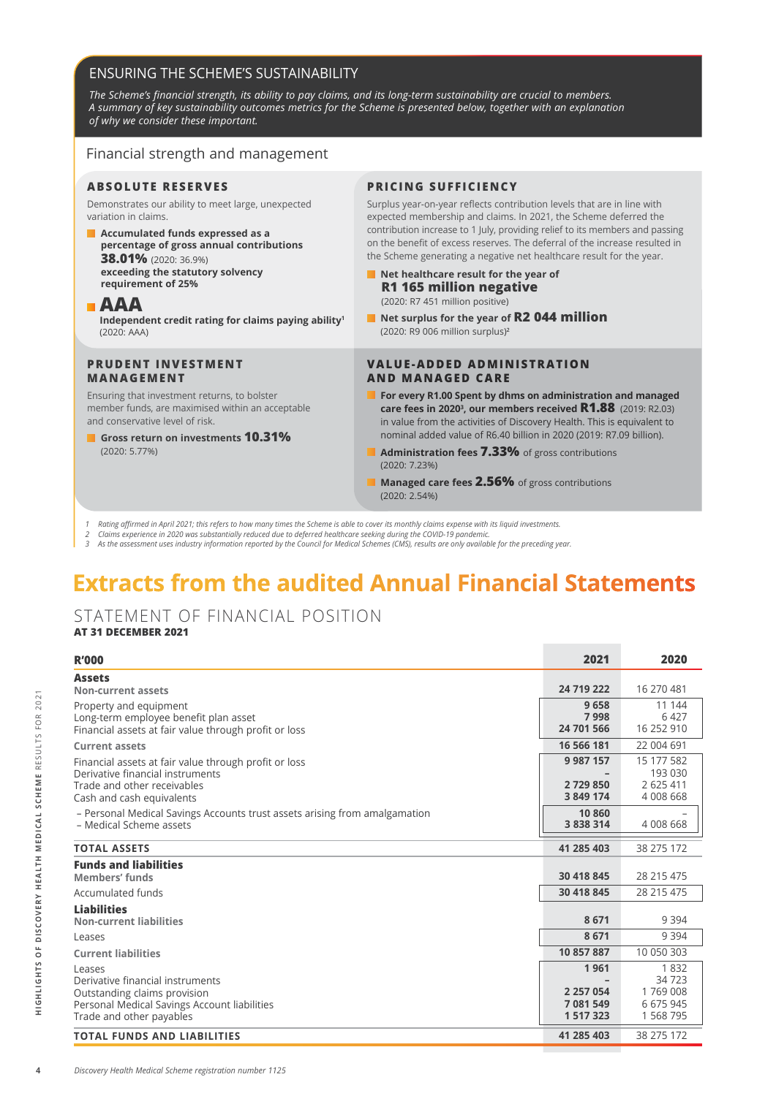### ENSURING THE SCHEME'S SUSTAINABILITY

The Scheme's financial strength, its ability to pay claims, and its long-term sustainability are crucial to members. *A summary of key sustainability outcomes metrics for the Scheme is presented below, together with an explanation of why we consider these important.*

#### Financial strength and management

#### **ABSOLUTE RESERVES**

Demonstrates our ability to meet large, unexpected variation in claims.

 **Accumulated funds expressed as a percentage of gross annual contributions 38.01%** (2020: 36.9%) **exceeding the statutory solvency requirement of 25%**

#### **AAA**

**Independent credit rating for claims paying ability<sup>1</sup>** (2020: AAA)

#### **PRUDENT INVESTMENT MANAGEMENT**

Ensuring that investment returns, to bolster member funds, are maximised within an acceptable and conservative level of risk.

 **Gross return on investments 10.31%**  (2020: 5.77%)

#### **PRICING SUFFICIENCY**

Surplus year-on-year reflects contribution levels that are in line with expected membership and claims. In 2021, the Scheme deferred the contribution increase to 1 July, providing relief to its members and passing on the benefit of excess reserves. The deferral of the increase resulted in the Scheme generating a negative net healthcare result for the year.

- **Net healthcare result for the year of R1 165 million negative** (2020: R7 451 million positive)
- Net surplus for the year of **R2 044 million** (2020: R9 006 million surplus)**<sup>2</sup>**

#### **VALUE-ADDED ADMINISTRATION AND MANAGED CARE**

- **For every R1.00 Spent by dhms on administration and managed care fees in 20203 , our members received R1.88** (2019: R2.03) in value from the activities of Discovery Health. This is equivalent to nominal added value of R6.40 billion in 2020 (2019: R7.09 billion).
- **Administration fees 7.33%** of gross contributions (2020: 7.23%)
- **Managed care fees 2.56%** of gross contributions (2020: 2.54%)
- Rating affirmed in April 2021; this refers to how many times the Scheme is able to cover its monthly claims expense with its liquid investments
- Claims experience in 2020 was substantially reduced due to deferred healthcare seeking during the COVID-19 pandemic
- *3 As the assessment uses industry information reported by the Council for Medical Schemes (CMS), results are only available for the preceding year.*

# **Extracts from the audited Annual Financial Statements**

## STATEMENT OF FINANCIAL POSITION

### **AT 31 DECEMBER 2021**

| <b>R'000</b>                                                               | 2021          | 2020       |
|----------------------------------------------------------------------------|---------------|------------|
| <b>Assets</b>                                                              |               |            |
| <b>Non-current assets</b>                                                  | 24 719 222    | 16 270 481 |
| Property and equipment                                                     | 9658          | 11 144     |
| Long-term employee benefit plan asset                                      | 7998          | 6 4 2 7    |
| Financial assets at fair value through profit or loss                      | 24 701 566    | 16 252 910 |
| <b>Current assets</b>                                                      | 16 566 181    | 22 004 691 |
| Financial assets at fair value through profit or loss                      | 9 9 8 7 1 5 7 | 15 177 582 |
| Derivative financial instruments                                           |               | 193 030    |
| Trade and other receivables                                                | 2729850       | 2 625 411  |
| Cash and cash equivalents                                                  | 3 849 174     | 4 008 668  |
| - Personal Medical Savings Accounts trust assets arising from amalgamation | 10 860        |            |
| - Medical Scheme assets                                                    | 3 8 3 8 3 1 4 | 4 008 668  |
| <b>TOTAL ASSETS</b>                                                        | 41 285 403    | 38 275 172 |
| <b>Funds and liabilities</b>                                               |               |            |
| <b>Members' funds</b>                                                      | 30 418 845    | 28 215 475 |
| Accumulated funds                                                          | 30 418 845    | 28 215 475 |
| <b>Liabilities</b>                                                         |               |            |
| <b>Non-current liabilities</b>                                             | 8671          | 9 3 9 4    |
| Leases                                                                     | 8671          | 9 3 9 4    |
| <b>Current liabilities</b>                                                 | 10 857 887    | 10 050 303 |
| Leases                                                                     | 1961          | 1832       |
| Derivative financial instruments                                           |               | 34 723     |
| Outstanding claims provision                                               | 2 2 5 7 0 5 4 | 1769008    |
| Personal Medical Savings Account liabilities                               | 7 081 549     | 6 675 945  |
| Trade and other payables                                                   | 1 5 1 7 3 2 3 | 1 568 795  |
| <b>TOTAL FUNDS AND LIABILITIES</b>                                         | 41 285 403    | 38 275 172 |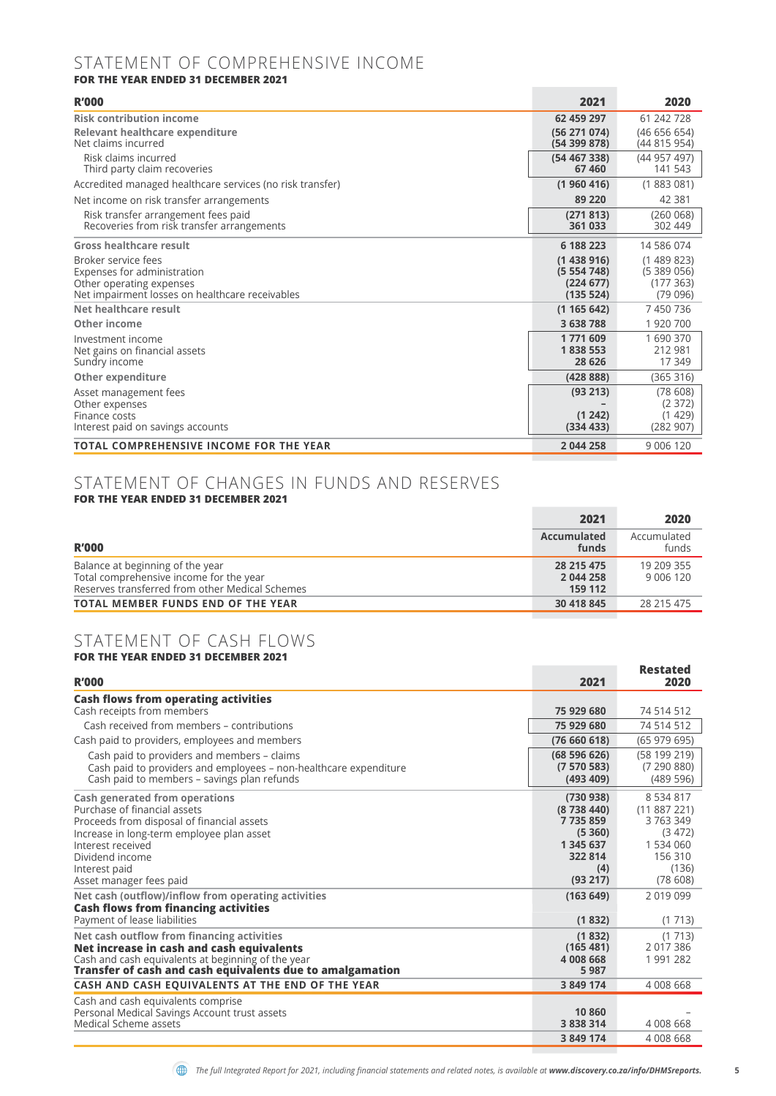## STATEMENT OF COMPREHENSIVE INCOME

**FOR THE YEAR ENDED 31 DECEMBER 2021**

| <b>R'000</b>                                                                                                                      | 2021                                             | 2020                                          |
|-----------------------------------------------------------------------------------------------------------------------------------|--------------------------------------------------|-----------------------------------------------|
| <b>Risk contribution income</b>                                                                                                   | 62 459 297                                       | 61 242 728                                    |
| Relevant healthcare expenditure<br>Net claims incurred                                                                            | (56 271 074)<br>(54399878)                       | (46656654)<br>(44 815 954)                    |
| Risk claims incurred<br>Third party claim recoveries                                                                              | (54467338)<br>67460                              | (44 957 497)<br>141 543                       |
| Accredited managed healthcare services (no risk transfer)                                                                         | (1960416)                                        | (1883081)                                     |
| Net income on risk transfer arrangements                                                                                          | 89 220                                           | 42 381                                        |
| Risk transfer arrangement fees paid<br>Recoveries from risk transfer arrangements                                                 | (271813)<br>361 033                              | (260068)<br>302 449                           |
| Gross healthcare result                                                                                                           | 6 188 223                                        | 14 586 074                                    |
| Broker service fees<br>Expenses for administration<br>Other operating expenses<br>Net impairment losses on healthcare receivables | (1438916)<br>(5554748)<br>(224 677)<br>(135 524) | (1489823)<br>(5389056)<br>(177363)<br>(79096) |
| Net healthcare result                                                                                                             | (1165642)                                        | 7450736                                       |
| Other income                                                                                                                      | 3 638 788                                        | 1 920 700                                     |
| Investment income<br>Net gains on financial assets<br>Sundry income                                                               | 1771609<br>1838553<br>28 626                     | 1 690 370<br>212 981<br>17 349                |
| <b>Other expenditure</b>                                                                                                          | (42888)                                          | (365316)                                      |
| Asset management fees<br>Other expenses<br>Finance costs<br>Interest paid on savings accounts                                     | (93 213)<br>(1242)<br>(334 433)                  | (78608)<br>(2372)<br>(1429)<br>(282907)       |
| <b>TOTAL COMPREHENSIVE INCOME FOR THE YEAR</b>                                                                                    | 2 044 258                                        | 9 006 120                                     |

## STATEMENT OF CHANGES IN FUNDS AND RESERVES

|  |  | <b>FOR THE YEAR ENDED 31 DECEMBER 2021</b> |  |
|--|--|--------------------------------------------|--|
|  |  |                                            |  |

|                                                                                                                                | 2021                               | 2020                    |
|--------------------------------------------------------------------------------------------------------------------------------|------------------------------------|-------------------------|
| <b>R'000</b>                                                                                                                   | Accumulated<br>funds               | Accumulated<br>funds    |
| Balance at beginning of the year<br>Total comprehensive income for the year<br>Reserves transferred from other Medical Schemes | 28 215 475<br>2 044 258<br>159 112 | 19 209 355<br>9 006 120 |
| <b>TOTAL MEMBER FUNDS END OF THE YEAR</b>                                                                                      | 30 418 845                         | 28 215 475              |

#### STATEMENT OF CASH FLOWS **FOR THE YEAR ENDED 31 DECEMBER 2021**

| <b>R'000</b>                                                                                                                                                                                                                                                                                         | 2021                                                                                                | <b>Restated</b><br>2020                                                                                   |
|------------------------------------------------------------------------------------------------------------------------------------------------------------------------------------------------------------------------------------------------------------------------------------------------------|-----------------------------------------------------------------------------------------------------|-----------------------------------------------------------------------------------------------------------|
| <b>Cash flows from operating activities</b>                                                                                                                                                                                                                                                          |                                                                                                     |                                                                                                           |
| Cash receipts from members                                                                                                                                                                                                                                                                           | 75 929 680                                                                                          | 74 514 512                                                                                                |
| Cash received from members - contributions                                                                                                                                                                                                                                                           | 75 929 680                                                                                          | 74 514 512                                                                                                |
| Cash paid to providers, employees and members                                                                                                                                                                                                                                                        | (76660618)                                                                                          | (65979695)                                                                                                |
| Cash paid to providers and members – claims<br>Cash paid to providers and employees – non-healthcare expenditure<br>Cash paid to members - savings plan refunds                                                                                                                                      | (68596626)<br>(7570583)<br>(493 409)                                                                | (58 199 219)<br>(7290880)<br>(489 596)                                                                    |
|                                                                                                                                                                                                                                                                                                      |                                                                                                     |                                                                                                           |
| Cash generated from operations<br>Purchase of financial assets<br>Proceeds from disposal of financial assets<br>Increase in long-term employee plan asset<br>Interest received<br>Dividend income<br>Interest paid<br>Asset manager fees paid<br>Net cash (outflow)/inflow from operating activities | (730938)<br>(8738440)<br>7735859<br>(5, 360)<br>1 345 637<br>322 814<br>(4)<br>(93 217)<br>(163649) | 8 5 3 4 8 1 7<br>(11887221)<br>3 763 349<br>(3472)<br>1 534 060<br>156 310<br>(136)<br>(78608)<br>2019099 |
| <b>Cash flows from financing activities</b>                                                                                                                                                                                                                                                          |                                                                                                     |                                                                                                           |
| Payment of lease liabilities                                                                                                                                                                                                                                                                         | (1832)                                                                                              | (1713)                                                                                                    |
| Net cash outflow from financing activities<br>Net increase in cash and cash equivalents<br>Cash and cash equivalents at beginning of the year<br>Transfer of cash and cash equivalents due to amalgamation                                                                                           | (1832)<br>(165 481)<br>4 008 668<br>5987                                                            | (1713)<br>2 017 386<br>1991282                                                                            |
| CASH AND CASH EQUIVALENTS AT THE END OF THE YEAR                                                                                                                                                                                                                                                     | 3 849 174                                                                                           | 4 008 668                                                                                                 |
| Cash and cash equivalents comprise<br>Personal Medical Savings Account trust assets<br>Medical Scheme assets                                                                                                                                                                                         | 10 860<br>3 8 3 8 3 1 4                                                                             | 4 008 668                                                                                                 |
|                                                                                                                                                                                                                                                                                                      | 3 849 174                                                                                           | 4 008 668                                                                                                 |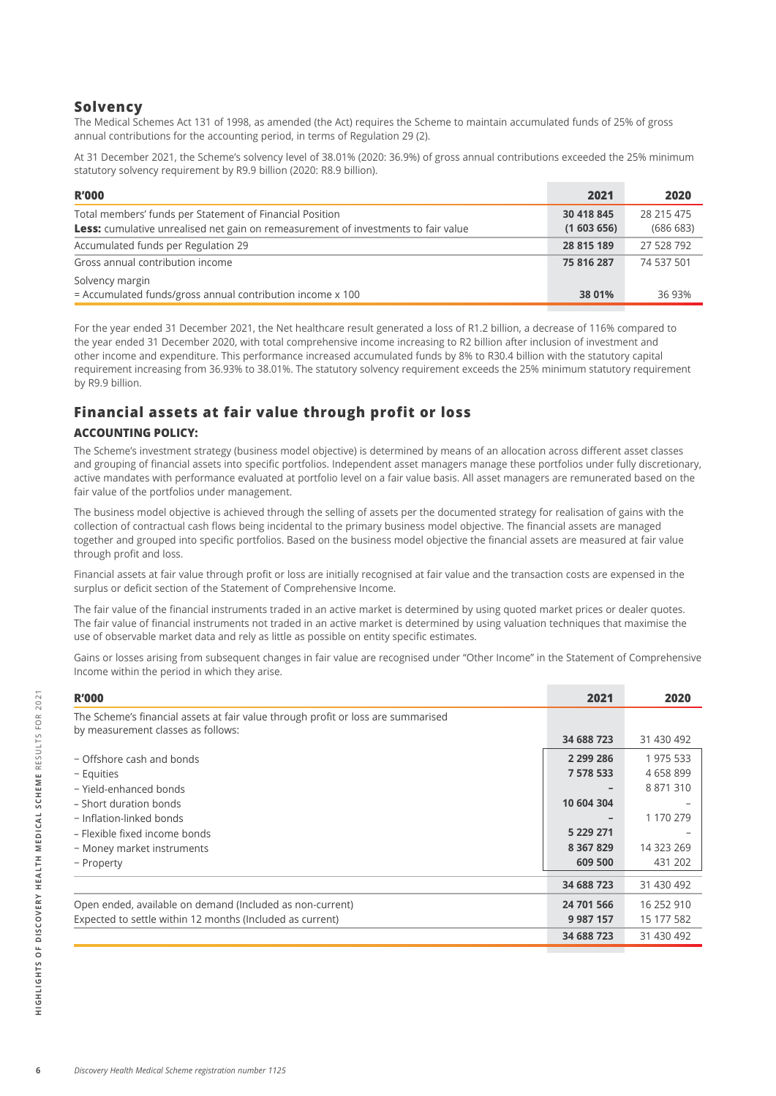### **Solvency**

The Medical Schemes Act 131 of 1998, as amended (the Act) requires the Scheme to maintain accumulated funds of 25% of gross annual contributions for the accounting period, in terms of Regulation 29 (2).

At 31 December 2021, the Scheme's solvency level of 38.01% (2020: 36.9%) of gross annual contributions exceeded the 25% minimum statutory solvency requirement by R9.9 billion (2020: R8.9 billion).

| <b>R'000</b>                                                                                                                                          | 2021                    | 2020                   |
|-------------------------------------------------------------------------------------------------------------------------------------------------------|-------------------------|------------------------|
| Total members' funds per Statement of Financial Position<br><b>Less:</b> cumulative unrealised net gain on remeasurement of investments to fair value | 30 418 845<br>(1603656) | 28 215 475<br>(686683) |
| Accumulated funds per Regulation 29                                                                                                                   | 28 815 189              | 27 528 792             |
| Gross annual contribution income                                                                                                                      | 75 816 287              | 74 537 501             |
| Solvency margin<br>= Accumulated funds/gross annual contribution income x 100                                                                         | 38 01%                  | 36 93%                 |

For the year ended 31 December 2021, the Net healthcare result generated a loss of R1.2 billion, a decrease of 116% compared to the year ended 31 December 2020, with total comprehensive income increasing to R2 billion after inclusion of investment and other income and expenditure. This performance increased accumulated funds by 8% to R30.4 billion with the statutory capital requirement increasing from 36.93% to 38.01%. The statutory solvency requirement exceeds the 25% minimum statutory requirement by R9.9 billion.

## **Financial assets at fair value through profit or loss**

#### **ACCOUNTING POLICY:**

The Scheme's investment strategy (business model objective) is determined by means of an allocation across different asset classes and grouping of financial assets into specific portfolios. Independent asset managers manage these portfolios under fully discretionary, active mandates with performance evaluated at portfolio level on a fair value basis. All asset managers are remunerated based on the fair value of the portfolios under management.

The business model objective is achieved through the selling of assets per the documented strategy for realisation of gains with the collection of contractual cash flows being incidental to the primary business model objective. The financial assets are managed together and grouped into specific portfolios. Based on the business model objective the financial assets are measured at fair value through profit and loss.

Financial assets at fair value through profit or loss are initially recognised at fair value and the transaction costs are expensed in the surplus or deficit section of the Statement of Comprehensive Income.

The fair value of the financial instruments traded in an active market is determined by using quoted market prices or dealer quotes. The fair value of financial instruments not traded in an active market is determined by using valuation techniques that maximise the use of observable market data and rely as little as possible on entity specific estimates.

Gains or losses arising from subsequent changes in fair value are recognised under "Other Income" in the Statement of Comprehensive Income within the period in which they arise.

| <b>R'000</b>                                                                      | 2021          | 2020       |
|-----------------------------------------------------------------------------------|---------------|------------|
| The Scheme's financial assets at fair value through profit or loss are summarised |               |            |
| by measurement classes as follows:                                                | 34 688 723    | 31 430 492 |
| - Offshore cash and bonds                                                         | 2 299 286     | 1 975 533  |
| - Equities                                                                        | 7 578 533     | 4 658 899  |
| - Yield-enhanced bonds                                                            |               | 8 871 310  |
| - Short duration bonds                                                            | 10 604 304    |            |
| - Inflation-linked bonds                                                          |               | 1 170 279  |
| - Flexible fixed income bonds                                                     | 5 229 271     |            |
| - Money market instruments                                                        | 8 3 6 7 8 2 9 | 14 323 269 |
| - Property                                                                        | 609 500       | 431 202    |
|                                                                                   | 34 688 723    | 31 430 492 |
| Open ended, available on demand (Included as non-current)                         | 24 701 566    | 16 252 910 |
| Expected to settle within 12 months (Included as current)                         | 9 9 8 7 1 5 7 | 15 177 582 |
|                                                                                   | 34 688 723    | 31 430 492 |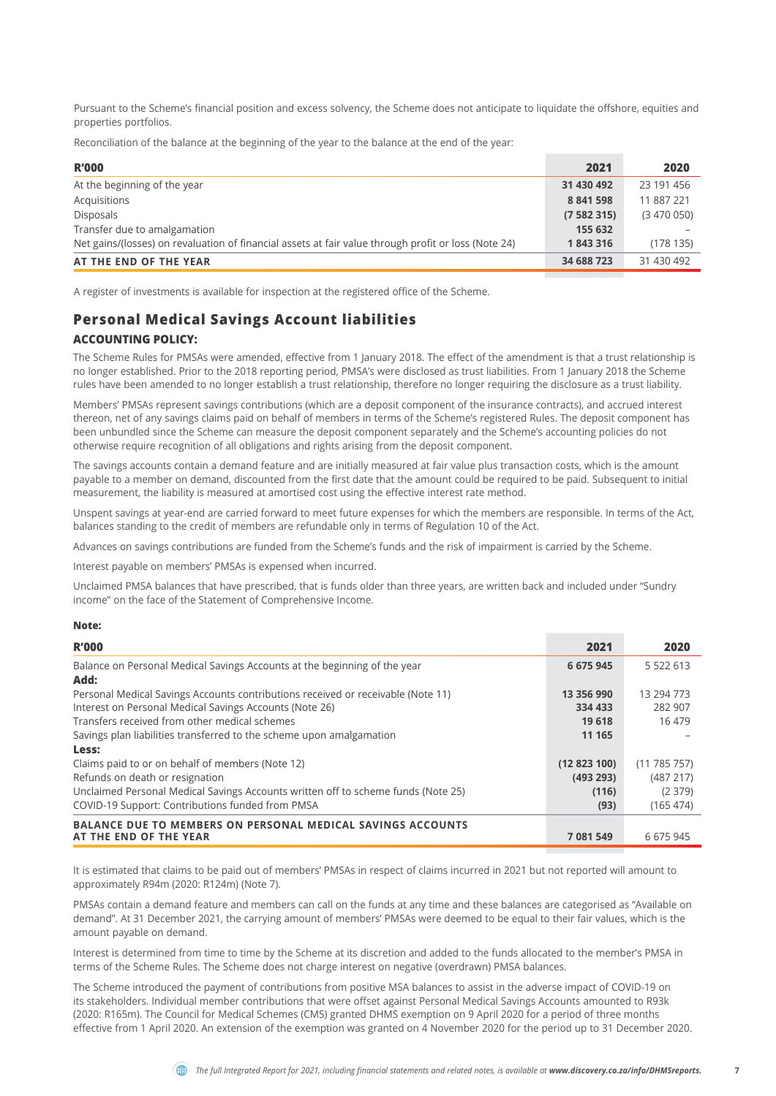Pursuant to the Scheme's financial position and excess solvency, the Scheme does not anticipate to liquidate the offshore, equities and properties portfolios.

Reconciliation of the balance at the beginning of the year to the balance at the end of the year:

| <b>R'000</b>                                                                                         | 2021       | 2020       |
|------------------------------------------------------------------------------------------------------|------------|------------|
| At the beginning of the year                                                                         | 31 430 492 | 23 191 456 |
| Acquisitions                                                                                         | 8 841 598  | 11 887 221 |
| Disposals                                                                                            | (7582315)  | (3470050)  |
| Transfer due to amalgamation                                                                         | 155 632    |            |
| Net gains/(losses) on revaluation of financial assets at fair value through profit or loss (Note 24) | 1843316    | (178135)   |
| AT THE END OF THE YEAR                                                                               | 34 688 723 | 31 430 492 |

A register of investments is available for inspection at the registered office of the Scheme.

## **Personal Medical Savings Account liabilities**

#### **ACCOUNTING POLICY:**

The Scheme Rules for PMSAs were amended, effective from 1 January 2018. The effect of the amendment is that a trust relationship is no longer established. Prior to the 2018 reporting period, PMSA's were disclosed as trust liabilities. From 1 January 2018 the Scheme rules have been amended to no longer establish a trust relationship, therefore no longer requiring the disclosure as a trust liability.

Members' PMSAs represent savings contributions (which are a deposit component of the insurance contracts), and accrued interest thereon, net of any savings claims paid on behalf of members in terms of the Scheme's registered Rules. The deposit component has been unbundled since the Scheme can measure the deposit component separately and the Scheme's accounting policies do not otherwise require recognition of all obligations and rights arising from the deposit component.

The savings accounts contain a demand feature and are initially measured at fair value plus transaction costs, which is the amount payable to a member on demand, discounted from the first date that the amount could be required to be paid. Subsequent to initial measurement, the liability is measured at amortised cost using the effective interest rate method.

Unspent savings at year-end are carried forward to meet future expenses for which the members are responsible. In terms of the Act, balances standing to the credit of members are refundable only in terms of Regulation 10 of the Act.

Advances on savings contributions are funded from the Scheme's funds and the risk of impairment is carried by the Scheme.

Interest payable on members' PMSAs is expensed when incurred.

Unclaimed PMSA balances that have prescribed, that is funds older than three years, are written back and included under "Sundry income" on the face of the Statement of Comprehensive Income.

#### **Note:**

| <b>R'000</b>                                                                      | 2021       | 2020             |
|-----------------------------------------------------------------------------------|------------|------------------|
| Balance on Personal Medical Savings Accounts at the beginning of the year         | 6 675 945  | 5 5 2 6 1 3      |
| Add:                                                                              |            |                  |
| Personal Medical Savings Accounts contributions received or receivable (Note 11)  | 13 356 990 | 13 294 773       |
| Interest on Personal Medical Savings Accounts (Note 26)                           | 334 433    | 282 907          |
| Transfers received from other medical schemes                                     | 19 618     | 16 479           |
| Savings plan liabilities transferred to the scheme upon amalgamation              | 11 165     |                  |
| Less:                                                                             |            |                  |
| Claims paid to or on behalf of members (Note 12)                                  | (12823100) | $(11\ 785\ 757)$ |
| Refunds on death or resignation                                                   | (493 293)  | (487 217)        |
| Unclaimed Personal Medical Savings Accounts written off to scheme funds (Note 25) | (116)      | (2379)           |
| COVID-19 Support: Contributions funded from PMSA                                  | (93)       | (165 474)        |
| <b>BALANCE DUE TO MEMBERS ON PERSONAL MEDICAL SAVINGS ACCOUNTS</b>                |            |                  |
| AT THE END OF THE YEAR                                                            | 7 081 549  | 6 675 945        |

It is estimated that claims to be paid out of members' PMSAs in respect of claims incurred in 2021 but not reported will amount to approximately R94m (2020: R124m) (Note 7).

PMSAs contain a demand feature and members can call on the funds at any time and these balances are categorised as "Available on demand". At 31 December 2021, the carrying amount of members' PMSAs were deemed to be equal to their fair values, which is the amount payable on demand.

Interest is determined from time to time by the Scheme at its discretion and added to the funds allocated to the member's PMSA in terms of the Scheme Rules. The Scheme does not charge interest on negative (overdrawn) PMSA balances.

The Scheme introduced the payment of contributions from positive MSA balances to assist in the adverse impact of COVID-19 on its stakeholders. Individual member contributions that were offset against Personal Medical Savings Accounts amounted to R93k (2020: R165m). The Council for Medical Schemes (CMS) granted DHMS exemption on 9 April 2020 for a period of three months effective from 1 April 2020. An extension of the exemption was granted on 4 November 2020 for the period up to 31 December 2020.

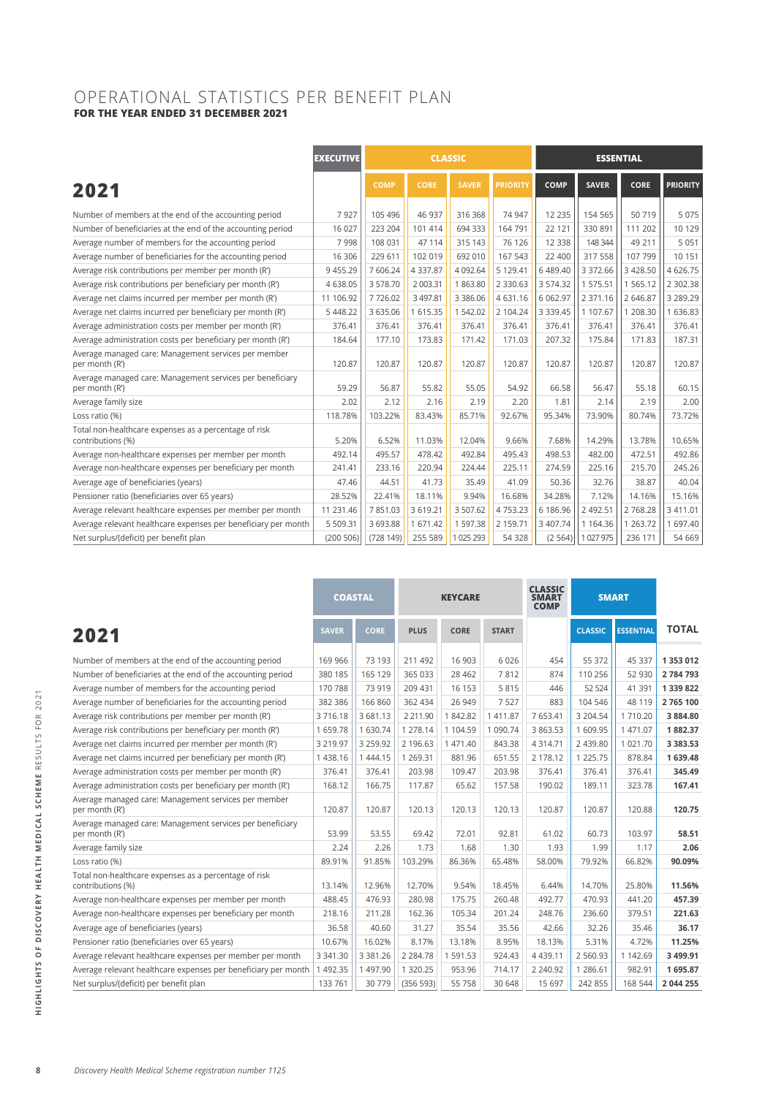### OPERATIONAL STATISTICS PER BENEFIT PLAN **FOR THE YEAR ENDED 31 DECEMBER 2021**

|                                                                             | <b>EXECUTIVE</b> | <b>CLASSIC</b> |               |               | <b>ESSENTIAL</b> |               |              |               |                 |
|-----------------------------------------------------------------------------|------------------|----------------|---------------|---------------|------------------|---------------|--------------|---------------|-----------------|
| 2021                                                                        |                  | <b>COMP</b>    | <b>CORE</b>   | <b>SAVER</b>  | <b>PRIORITY</b>  | <b>COMP</b>   | <b>SAVER</b> | <b>CORE</b>   | <b>PRIORITY</b> |
| Number of members at the end of the accounting period                       | 7927             | 105 496        | 46 937        | 316 368       | 74 947           | 12 2 35       | 154 565      | 50719         | 5 0 7 5         |
| Number of beneficiaries at the end of the accounting period                 | 16 0 27          | 223 204        | 101 414       | 694 333       | 164 791          | 22 121        | 330 891      | 111 202       | 10 1 29         |
| Average number of members for the accounting period                         | 7998             | 108 031        | 47 114        | 315 143       | 76 126           | 12 3 38       | 148 344      | 49 211        | 5 0 5 1         |
| Average number of beneficiaries for the accounting period                   | 16 30 6          | 229 611        | 102 019       | 692 010       | 167 543          | 22 400        | 317 558      | 107 799       | 10 151          |
| Average risk contributions per member per month (R')                        | 9 4 5 5.29       | 7 606.24       | 4 3 3 7 . 8 7 | 4 092.64      | 5 129.41         | 6 489.40      | 3 372.66     | 3 4 28.50     | 4 626.75        |
| Average risk contributions per beneficiary per month (R')                   | 4 638.05         | 3 578.70       | 2 003.31      | 1863.80       | 2 3 3 0 . 6 3    | 3 574.32      | 1 575.51     | 1 5 6 5 . 1 2 | 2 302.38        |
| Average net claims incurred per member per month (R')                       | 11 106.92        | 7726.02        | 3497.81       | 3 3 8 6 . 0 6 | 4 631.16         | 6 062.97      | 2 371.16     | 2 646.87      | 3 289.29        |
| Average net claims incurred per beneficiary per month (R')                  | 5 4 4 8 .22      | 3 635.06       | 1 615.35      | 1 542.02      | 2 104.24         | 3 3 3 9 . 4 5 | 1 107.67     | 1 208.30      | 1 636.83        |
| Average administration costs per member per month (R')                      | 376.41           | 376.41         | 376.41        | 376.41        | 376.41           | 376.41        | 376.41       | 376.41        | 376.41          |
| Average administration costs per beneficiary per month (R')                 | 184.64           | 177.10         | 173.83        | 171.42        | 171.03           | 207.32        | 175.84       | 171.83        | 187.31          |
| Average managed care: Management services per member<br>per month (R')      | 120.87           | 120.87         | 120.87        | 120.87        | 120.87           | 120.87        | 120.87       | 120.87        | 120.87          |
| Average managed care: Management services per beneficiary<br>per month (R') | 59.29            | 56.87          | 55.82         | 55.05         | 54.92            | 66.58         | 56.47        | 55.18         | 60.15           |
| Average family size                                                         | 2.02             | 2.12           | 2.16          | 2.19          | 2.20             | 1.81          | 2.14         | 2.19          | 2.00            |
| Loss ratio (%)                                                              | 118.78%          | 103.22%        | 83.43%        | 85.71%        | 92.67%           | 95.34%        | 73.90%       | 80.74%        | 73.72%          |
| Total non-healthcare expenses as a percentage of risk<br>contributions (%)  | 5.20%            | 6.52%          | 11.03%        | 12.04%        | 9.66%            | 7.68%         | 14.29%       | 13.78%        | 10.65%          |
| Average non-healthcare expenses per member per month                        | 492.14           | 495.57         | 478.42        | 492.84        | 495.43           | 498.53        | 482.00       | 472.51        | 492.86          |
| Average non-healthcare expenses per beneficiary per month                   | 241.41           | 233.16         | 220.94        | 224.44        | 225.11           | 274.59        | 225.16       | 215.70        | 245.26          |
| Average age of beneficiaries (years)                                        | 47.46            | 44.51          | 41.73         | 35.49         | 41.09            | 50.36         | 32.76        | 38.87         | 40.04           |
| Pensioner ratio (beneficiaries over 65 years)                               | 28.52%           | 22.41%         | 18.11%        | 9.94%         | 16.68%           | 34.28%        | 7.12%        | 14.16%        | 15.16%          |
| Average relevant healthcare expenses per member per month                   | 11 231.46        | 7 851.03       | 3 6 1 9 . 2 1 | 3 507.62      | 4753.23          | 6 186.96      | 2 492.51     | 2768.28       | 3 411.01        |
| Average relevant healthcare expenses per beneficiary per month              | 5 509.31         | 3 693.88       | 1 671.42      | 1 597.38      | 2 159.71         | 3 407.74      | 1 1 64.36    | 1 263.72      | 1 697.40        |
| Net surplus/(deficit) per benefit plan                                      | (200 506)        | (728149)       | 255 589       | 1 025 293     | 54 328           | (2564)        | 1 027 975    | 236 171       | 54 669          |

|                                                                             |              | <b>COASTAL</b> | <b>KEYCARE</b> |          |              | <b>CLASSIC</b><br><b>SMART</b><br><b>SMART</b><br><b>COMP</b> |                |                  |              |
|-----------------------------------------------------------------------------|--------------|----------------|----------------|----------|--------------|---------------------------------------------------------------|----------------|------------------|--------------|
| 2021                                                                        | <b>SAVER</b> | <b>CORE</b>    | <b>PLUS</b>    | CORE     | <b>START</b> |                                                               | <b>CLASSIC</b> | <b>ESSENTIAL</b> | <b>TOTAL</b> |
| Number of members at the end of the accounting period                       | 169 966      | 73 193         | 211 492        | 16 903   | 6 0 2 6      | 454                                                           | 55 372         | 45 337           | 1 353 012    |
| Number of beneficiaries at the end of the accounting period                 | 380 185      | 165 129        | 365 033        | 28 4 6 2 | 7812         | 874                                                           | 110 256        | 52 930           | 2784793      |
| Average number of members for the accounting period                         | 170 788      | 73 919         | 209 431        | 16 153   | 5815         | 446                                                           | 52 5 24        | 41 391           | 1 339 822    |
| Average number of beneficiaries for the accounting period                   | 382 386      | 166 860        | 362 434        | 26 949   | 7 5 2 7      | 883                                                           | 104 546        | 48 119           | 2 765 100    |
| Average risk contributions per member per month (R')                        | 3716.18      | 3 681.13       | 2 2 1 1.90     | 1842.82  | 1 411.87     | 7 653.41                                                      | 3 204.54       | 1 710.20         | 3 884.80     |
| Average risk contributions per beneficiary per month (R')                   | 1 659.78     | 1 630.74       | 1 278.14       | 1 104.59 | 1 090.74     | 3 863.53                                                      | 1 609.95       | 1 471.07         | 1882.37      |
| Average net claims incurred per member per month (R')                       | 3 219.97     | 3 259.92       | 2 196.63       | 1 471.40 | 843.38       | 4 3 1 4 . 7 1                                                 | 2 439.80       | 1 021.70         | 3 3 8 3 .5 3 |
| Average net claims incurred per beneficiary per month (R')                  | 1 438.16     | 1 444.15       | 1 269.31       | 881.96   | 651.55       | 2 178.12                                                      | 1 225.75       | 878.84           | 1 639.48     |
| Average administration costs per member per month (R')                      | 376.41       | 376.41         | 203.98         | 109.47   | 203.98       | 376.41                                                        | 376.41         | 376.41           | 345.49       |
| Average administration costs per beneficiary per month (R')                 | 168.12       | 166.75         | 117.87         | 65.62    | 157.58       | 190.02                                                        | 189.11         | 323.78           | 167.41       |
| Average managed care: Management services per member<br>per month (R')      | 120.87       | 120.87         | 120.13         | 120.13   | 120.13       | 120.87                                                        | 120.87         | 120.88           | 120.75       |
| Average managed care: Management services per beneficiary<br>per month (R') | 53.99        | 53.55          | 69.42          | 72.01    | 92.81        | 61.02                                                         | 60.73          | 103.97           | 58.51        |
| Average family size                                                         | 2.24         | 2.26           | 1.73           | 1.68     | 1.30         | 1.93                                                          | 1.99           | 1.17             | 2.06         |
| Loss ratio (%)                                                              | 89.91%       | 91.85%         | 103.29%        | 86.36%   | 65.48%       | 58.00%                                                        | 79.92%         | 66.82%           | 90.09%       |
| Total non-healthcare expenses as a percentage of risk<br>contributions (%)  | 13.14%       | 12.96%         | 12.70%         | 9.54%    | 18.45%       | 6.44%                                                         | 14.70%         | 25.80%           | 11.56%       |
| Average non-healthcare expenses per member per month                        | 488.45       | 476.93         | 280.98         | 175.75   | 260.48       | 492.77                                                        | 470.93         | 441.20           | 457.39       |
| Average non-healthcare expenses per beneficiary per month                   | 218.16       | 211.28         | 162.36         | 105.34   | 201.24       | 248.76                                                        | 236.60         | 379.51           | 221.63       |
| Average age of beneficiaries (years)                                        | 36.58        | 40.60          | 31.27          | 35.54    | 35.56        | 42.66                                                         | 32.26          | 35.46            | 36.17        |
| Pensioner ratio (beneficiaries over 65 years)                               | 10.67%       | 16.02%         | 8.17%          | 13.18%   | 8.95%        | 18.13%                                                        | 5.31%          | 4.72%            | 11.25%       |
| Average relevant healthcare expenses per member per month                   | 3 341.30     | 3 3 8 1 . 2 6  | 2 2 8 4 .78    | 1 591.53 | 924.43       | 4 4 3 9 . 1 1                                                 | 2 560.93       | 1 142.69         | 3 499.91     |
| Average relevant healthcare expenses per beneficiary per month              | 1 492.35     | 1 497.90       | 1 320.25       | 953.96   | 714.17       | 2 240.92                                                      | 1 286.61       | 982.91           | 1695.87      |
| Net surplus/(deficit) per benefit plan                                      | 133 761      | 30 779         | (356593)       | 55 758   | 30 648       | 15 697                                                        | 242 855        | 168 544          | 2 044 255    |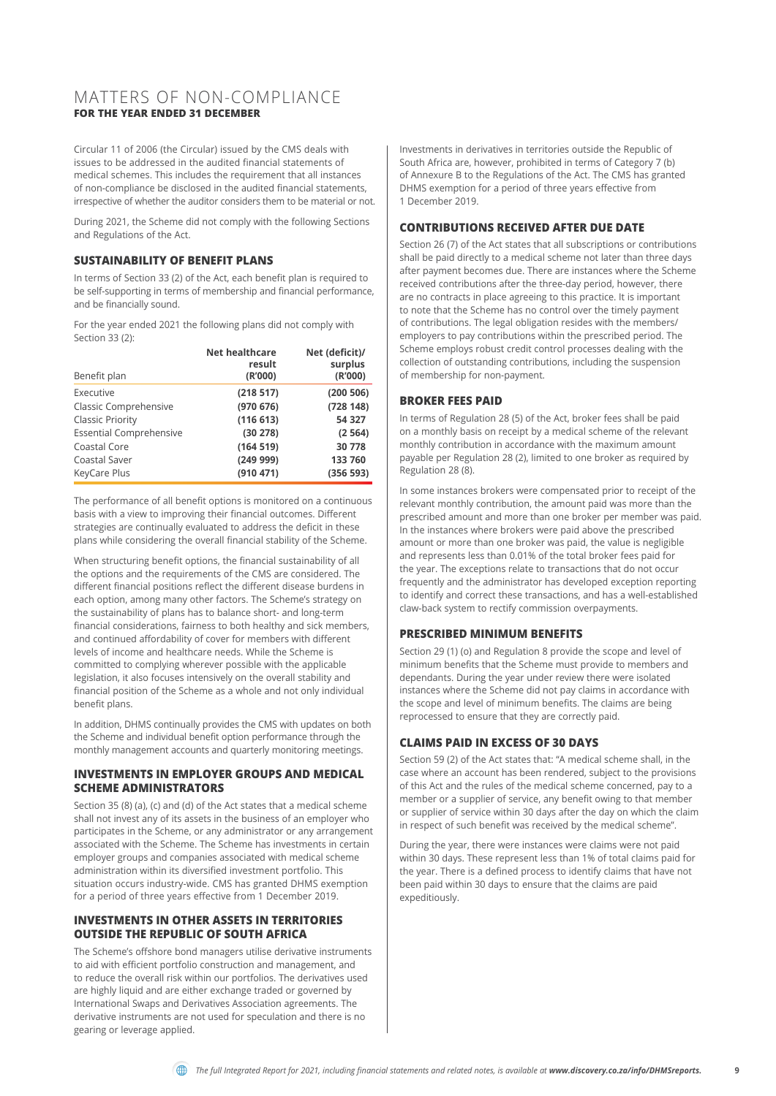#### MATTERS OF NON-COMPLIANCE **FOR THE YEAR ENDED 31 DECEMBER**

Circular 11 of 2006 (the Circular) issued by the CMS deals with issues to be addressed in the audited financial statements of medical schemes. This includes the requirement that all instances of non-compliance be disclosed in the audited financial statements, irrespective of whether the auditor considers them to be material or not.

During 2021, the Scheme did not comply with the following Sections and Regulations of the Act.

#### **SUSTAINABILITY OF BENEFIT PLANS**

In terms of Section 33 (2) of the Act, each benefit plan is required to be self-supporting in terms of membership and financial performance, and be financially sound.

For the year ended 2021 the following plans did not comply with Section 33 (2):

| Benefit plan                   | Net healthcare<br>result<br>(R'000) | Net (deficit)/<br>surplus<br>(R'000) |
|--------------------------------|-------------------------------------|--------------------------------------|
| Executive                      | (218517)                            | (200 506)                            |
| Classic Comprehensive          | (970676)                            | (728 148)                            |
| <b>Classic Priority</b>        | (116613)                            | 54 327                               |
| <b>Essential Comprehensive</b> | (30 278)                            | (2564)                               |
| Coastal Core                   | (164519)                            | 30 778                               |
| Coastal Saver                  | (24999)                             | 133 760                              |
| KeyCare Plus                   | (910 471)                           | (356 593)                            |

The performance of all benefit options is monitored on a continuous basis with a view to improving their financial outcomes. Different strategies are continually evaluated to address the deficit in these plans while considering the overall financial stability of the Scheme.

When structuring benefit options, the financial sustainability of all the options and the requirements of the CMS are considered. The different financial positions reflect the different disease burdens in each option, among many other factors. The Scheme's strategy on the sustainability of plans has to balance short- and long-term financial considerations, fairness to both healthy and sick members, and continued affordability of cover for members with different levels of income and healthcare needs. While the Scheme is committed to complying wherever possible with the applicable legislation, it also focuses intensively on the overall stability and financial position of the Scheme as a whole and not only individual benefit plans.

In addition, DHMS continually provides the CMS with updates on both the Scheme and individual benefit option performance through the monthly management accounts and quarterly monitoring meetings.

#### **INVESTMENTS IN EMPLOYER GROUPS AND MEDICAL SCHEME ADMINISTRATORS**

Section 35 (8) (a), (c) and (d) of the Act states that a medical scheme shall not invest any of its assets in the business of an employer who participates in the Scheme, or any administrator or any arrangement associated with the Scheme. The Scheme has investments in certain employer groups and companies associated with medical scheme administration within its diversified investment portfolio. This situation occurs industry-wide. CMS has granted DHMS exemption for a period of three years effective from 1 December 2019.

#### **INVESTMENTS IN OTHER ASSETS IN TERRITORIES OUTSIDE THE REPUBLIC OF SOUTH AFRICA**

The Scheme's offshore bond managers utilise derivative instruments to aid with efficient portfolio construction and management, and to reduce the overall risk within our portfolios. The derivatives used are highly liquid and are either exchange traded or governed by International Swaps and Derivatives Association agreements. The derivative instruments are not used for speculation and there is no gearing or leverage applied.

Investments in derivatives in territories outside the Republic of South Africa are, however, prohibited in terms of Category 7 (b) of Annexure B to the Regulations of the Act. The CMS has granted DHMS exemption for a period of three years effective from 1 December 2019.

#### **CONTRIBUTIONS RECEIVED AFTER DUE DATE**

Section 26 (7) of the Act states that all subscriptions or contributions shall be paid directly to a medical scheme not later than three days after payment becomes due. There are instances where the Scheme received contributions after the three-day period, however, there are no contracts in place agreeing to this practice. It is important to note that the Scheme has no control over the timely payment of contributions. The legal obligation resides with the members/ employers to pay contributions within the prescribed period. The Scheme employs robust credit control processes dealing with the collection of outstanding contributions, including the suspension of membership for non-payment.

#### **BROKER FEES PAID**

In terms of Regulation 28 (5) of the Act, broker fees shall be paid on a monthly basis on receipt by a medical scheme of the relevant monthly contribution in accordance with the maximum amount payable per Regulation 28 (2), limited to one broker as required by Regulation 28 (8).

In some instances brokers were compensated prior to receipt of the relevant monthly contribution, the amount paid was more than the prescribed amount and more than one broker per member was paid. In the instances where brokers were paid above the prescribed amount or more than one broker was paid, the value is negligible and represents less than 0.01% of the total broker fees paid for the year. The exceptions relate to transactions that do not occur frequently and the administrator has developed exception reporting to identify and correct these transactions, and has a well-established claw-back system to rectify commission overpayments.

#### **PRESCRIBED MINIMUM BENEFITS**

Section 29 (1) (o) and Regulation 8 provide the scope and level of minimum benefits that the Scheme must provide to members and dependants. During the year under review there were isolated instances where the Scheme did not pay claims in accordance with the scope and level of minimum benefits. The claims are being reprocessed to ensure that they are correctly paid.

#### **CLAIMS PAID IN EXCESS OF 30 DAYS**

Section 59 (2) of the Act states that: "A medical scheme shall, in the case where an account has been rendered, subject to the provisions of this Act and the rules of the medical scheme concerned, pay to a member or a supplier of service, any benefit owing to that member or supplier of service within 30 days after the day on which the claim in respect of such benefit was received by the medical scheme".

During the year, there were instances were claims were not paid within 30 days. These represent less than 1% of total claims paid for the year. There is a defined process to identify claims that have not been paid within 30 days to ensure that the claims are paid expeditiously.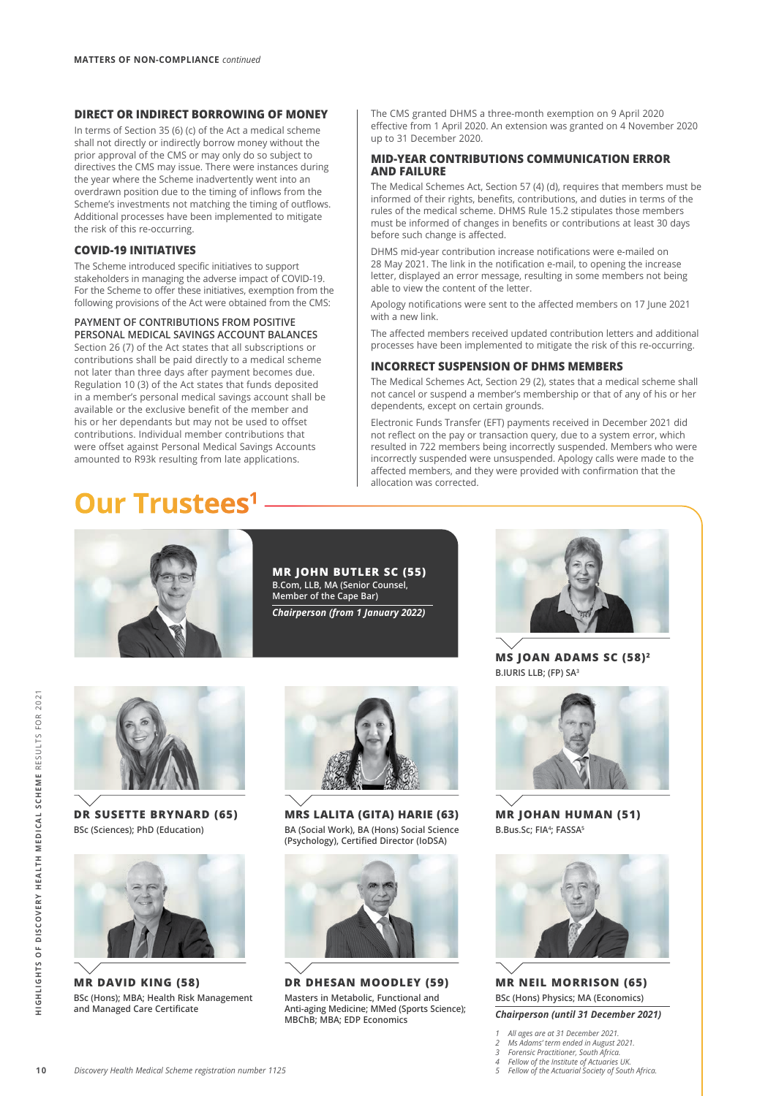#### **DIRECT OR INDIRECT BORROWING OF MONEY**

In terms of Section 35 (6) (c) of the Act a medical scheme shall not directly or indirectly borrow money without the prior approval of the CMS or may only do so subject to directives the CMS may issue. There were instances during the year where the Scheme inadvertently went into an overdrawn position due to the timing of inflows from the Scheme's investments not matching the timing of outflows. Additional processes have been implemented to mitigate the risk of this re-occurring.

#### **COVID-19 INITIATIVES**

The Scheme introduced specific initiatives to support stakeholders in managing the adverse impact of COVID-19. For the Scheme to offer these initiatives, exemption from the following provisions of the Act were obtained from the CMS:

#### **PAYMENT OF CONTRIBUTIONS FROM POSITIVE PERSONAL MEDICAL SAVINGS ACCOUNT BALANCES**

Section 26 (7) of the Act states that all subscriptions or contributions shall be paid directly to a medical scheme not later than three days after payment becomes due. Regulation 10 (3) of the Act states that funds deposited in a member's personal medical savings account shall be available or the exclusive benefit of the member and his or her dependants but may not be used to offset contributions. Individual member contributions that were offset against Personal Medical Savings Accounts amounted to R93k resulting from late applications.

**Our Trustees1**

The CMS granted DHMS a three-month exemption on 9 April 2020 effective from 1 April 2020. An extension was granted on 4 November 2020 up to 31 December 2020.

#### **MID-YEAR CONTRIBUTIONS COMMUNICATION ERROR AND FAILURE**

The Medical Schemes Act, Section 57 (4) (d), requires that members must be informed of their rights, benefits, contributions, and duties in terms of the rules of the medical scheme. DHMS Rule 15.2 stipulates those members must be informed of changes in benefits or contributions at least 30 days before such change is affected.

DHMS mid-year contribution increase notifications were e-mailed on 28 May 2021. The link in the notification e-mail, to opening the increase letter, displayed an error message, resulting in some members not being able to view the content of the letter.

Apology notifications were sent to the affected members on 17 June 2021 with a new link.

The affected members received updated contribution letters and additional processes have been implemented to mitigate the risk of this re-occurring.

#### **INCORRECT SUSPENSION OF DHMS MEMBERS**

The Medical Schemes Act, Section 29 (2), states that a medical scheme shall not cancel or suspend a member's membership or that of any of his or her dependents, except on certain grounds.

Electronic Funds Transfer (EFT) payments received in December 2021 did not reflect on the pay or transaction query, due to a system error, which resulted in 722 members being incorrectly suspended. Members who were incorrectly suspended were unsuspended. Apology calls were made to the affected members, and they were provided with confirmation that the allocation was corrected.



**MR JOHN BUTLER SC (55) B.Com, LLB, MA (Senior Counsel, Member of the Cape Bar)** *Chairperson (from 1 January 2022)*



**MS JOAN ADAMS SC (58)2 B.IURIS LLB; (FP) SA3**



**DR SUSETTE BRYNARD (65) BSc (Sciences); PhD (Education)**



**MR DAVID KING (58) BSc (Hons); MBA; Health Risk Management and Managed Care Certificate**



**MRS LALITA (GITA) HARIE (63) BA (Social Work), BA (Hons) Social Science (Psychology), Certified Director (IoDSA)**



**DR DHESAN MOODLEY (59) Masters in Metabolic, Functional and Anti-aging Medicine; MMed (Sports Science); MBChB; MBA; EDP Economics**



**MR JOHAN HUMAN (51) B.Bus.Sc; FIA<sup>4</sup>; FASSA<sup>5</sup>** 



**MR NEIL MORRISON (65) BSc (Hons) Physics; MA (Economics)** *Chairperson (until 31 December 2021)*

- *1 All ages are at 31 December 2021.*
- *2 Ms Adams' term ended in August 2021. 3 Forensic Practitioner, South Africa.*
- 
- *4 Fellow of the Institute of Actuaries UK. 5 Fellow of the Actuarial Society of South Africa.*

**1 0HIGHLIGHTS OF DISCOVERY HEALTH MEDICAL SCHEME** RESULTS FOR 2021

HIGHLIGHTS OF DISCOVERY HEALTH MEDICAL SCHEME RESULTS FOR 2021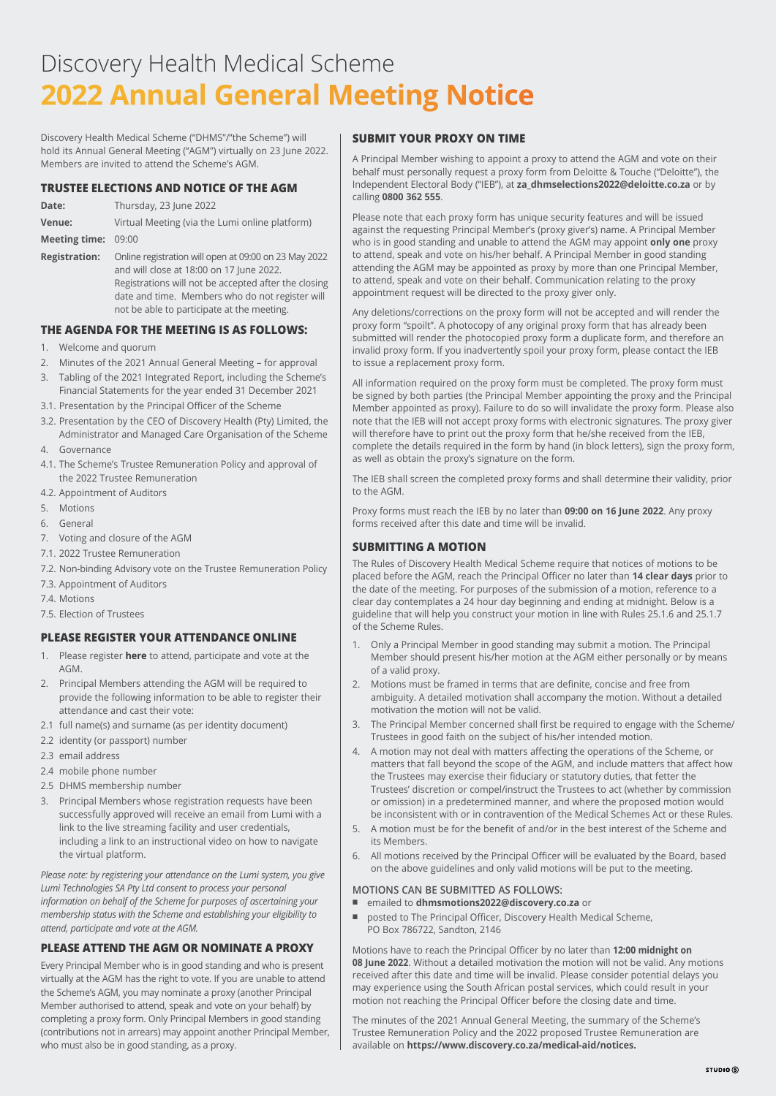# Discovery Health Medical Scheme **[2022 Annual General Meeting Notice](https://reg.lumiengage.com/discovery-health-medical-scheme-agm-2022)**

Discovery Health Medical Scheme ("DHMS"/"the Scheme") will hold its Annual General Meeting ("AGM") virtually on 23 June 2022. Members are invited to attend the Scheme's AGM.

#### **TRUSTEE ELECTIONS AND NOTICE OF THE AGM**

| Date:               | Thursday, 23 June 2022                         |
|---------------------|------------------------------------------------|
| Venue:              | Virtual Meeting (via the Lumi online platform) |
| Meeting time: 09:00 |                                                |

**Registration:** Online registration will open at 09:00 on 23 May 2022 and will close at 18:00 on 17 June 2022. Registrations will not be accepted after the closing date and time. Members who do not register will not be able to participate at the meeting.

#### **THE AGENDA FOR THE MEETING IS AS FOLLOWS:**

- 1. Welcome and quorum
- 2. Minutes of the 2021 Annual General Meeting for approval
- 3. Tabling of the 2021 Integrated Report, including the Scheme's Financial Statements for the year ended 31 December 2021
- 3.1. Presentation by the Principal Officer of the Scheme
- 3.2. Presentation by the CEO of Discovery Health (Pty) Limited, the Administrator and Managed Care Organisation of the Scheme
- 4. Governance
- 4.1. The Scheme's Trustee Remuneration Policy and approval of the 2022 Trustee Remuneration
- 4.2. Appointment of Auditors
- 5. Motions
- 6. General
- 7. Voting and closure of the AGM
- 7.1. 2022 Trustee Remuneration
- 7.2. Non-binding Advisory vote on the Trustee Remuneration Policy
- 7.3. Appointment of Auditors
- 7.4. Motions
- 7.5. Election of Trustees

#### **PLEASE REGISTER YOUR ATTENDANCE ONLINE**

- 1. Please register **[here](https://reg.lumiengage.com/discovery-health-medical-scheme-agm-2022)** to attend, participate and vote at the AGM.
- 2. Principal Members attending the AGM will be required to provide the following information to be able to register their attendance and cast their vote:
- 2.1 full name(s) and surname (as per identity document)
- 2.2 identity (or passport) number
- 2.3 email address
- 2.4 mobile phone number
- 2.5 DHMS membership number
- 3. Principal Members whose registration requests have been successfully approved will receive an email from Lumi with a link to the live streaming facility and user credentials, including a link to an instructional video on how to navigate the virtual platform.

*Please note: by registering your attendance on the Lumi system, you give Lumi Technologies SA Pty Ltd consent to process your personal information on behalf of the Scheme for purposes of ascertaining your membership status with the Scheme and establishing your eligibility to attend, participate and vote at the AGM.*

#### **PLEASE ATTEND THE AGM OR NOMINATE A PROXY**

Every Principal Member who is in good standing and who is present virtually at the AGM has the right to vote. If you are unable to attend the Scheme's AGM, you may nominate a proxy (another Principal Member authorised to attend, speak and vote on your behalf) by completing a proxy form. Only Principal Members in good standing (contributions not in arrears) may appoint another Principal Member, who must also be in good standing, as a proxy.

#### **SUBMIT YOUR PROXY ON TIME**

A Principal Member wishing to appoint a proxy to attend the AGM and vote on their behalf must personally request a proxy form from Deloitte & Touche ("Deloitte"), the Independent Electoral Body ("IEB"), at **za\_dhmselections2022@deloitte.co.za** or by calling **0800 362 555**.

Please note that each proxy form has unique security features and will be issued against the requesting Principal Member's (proxy giver's) name. A Principal Member who is in good standing and unable to attend the AGM may appoint **only one** proxy to attend, speak and vote on his/her behalf. A Principal Member in good standing attending the AGM may be appointed as proxy by more than one Principal Member, to attend, speak and vote on their behalf. Communication relating to the proxy appointment request will be directed to the proxy giver only.

Any deletions/corrections on the proxy form will not be accepted and will render the proxy form "spoilt". A photocopy of any original proxy form that has already been submitted will render the photocopied proxy form a duplicate form, and therefore an invalid proxy form. If you inadvertently spoil your proxy form, please contact the IEB to issue a replacement proxy form.

All information required on the proxy form must be completed. The proxy form must be signed by both parties (the Principal Member appointing the proxy and the Principal Member appointed as proxy). Failure to do so will invalidate the proxy form. Please also note that the IEB will not accept proxy forms with electronic signatures. The proxy giver will therefore have to print out the proxy form that he/she received from the IEB, complete the details required in the form by hand (in block letters), sign the proxy form, as well as obtain the proxy's signature on the form.

The IEB shall screen the completed proxy forms and shall determine their validity, prior to the AGM.

Proxy forms must reach the IEB by no later than **09:00 on 16 June 2022**. Any proxy forms received after this date and time will be invalid.

#### **SUBMITTING A MOTION**

The Rules of Discovery Health Medical Scheme require that notices of motions to be placed before the AGM, reach the Principal Officer no later than **14 clear days** prior to the date of the meeting. For purposes of the submission of a motion, reference to a clear day contemplates a 24 hour day beginning and ending at midnight. Below is a guideline that will help you construct your motion in line with Rules 25.1.6 and 25.1.7 of the Scheme Rules.

- 1. Only a Principal Member in good standing may submit a motion. The Principal Member should present his/her motion at the AGM either personally or by means of a valid proxy.
- 2. Motions must be framed in terms that are definite, concise and free from ambiguity. A detailed motivation shall accompany the motion. Without a detailed motivation the motion will not be valid.
- 3. The Principal Member concerned shall first be required to engage with the Scheme/ Trustees in good faith on the subject of his/her intended motion.
- 4. A motion may not deal with matters affecting the operations of the Scheme, or matters that fall beyond the scope of the AGM, and include matters that affect how the Trustees may exercise their fiduciary or statutory duties, that fetter the Trustees' discretion or compel/instruct the Trustees to act (whether by commission or omission) in a predetermined manner, and where the proposed motion would be inconsistent with or in contravention of the Medical Schemes Act or these Rules.
- 5. A motion must be for the benefit of and/or in the best interest of the Scheme and its Members.
- 6. All motions received by the Principal Officer will be evaluated by the Board, based on the above guidelines and only valid motions will be put to the meeting.

#### **MOTIONS CAN BE SUBMITTED AS FOLLOWS:**

- emailed to **dhmsmotions2022@discovery.co.za** or
- posted to The Principal Officer, Discovery Health Medical Scheme, PO Box 786722, Sandton, 2146

Motions have to reach the Principal Officer by no later than **12:00 midnight on 08 June 2022**. Without a detailed motivation the motion will not be valid. Any motions received after this date and time will be invalid. Please consider potential delays you may experience using the South African postal services, which could result in your motion not reaching the Principal Officer before the closing date and time.

The minutes of the 2021 Annual General Meeting, the summary of the Scheme's Trustee Remuneration Policy and the 2022 proposed Trustee Remuneration are available on **https://www.discovery.co.za/medical-aid/notices.**